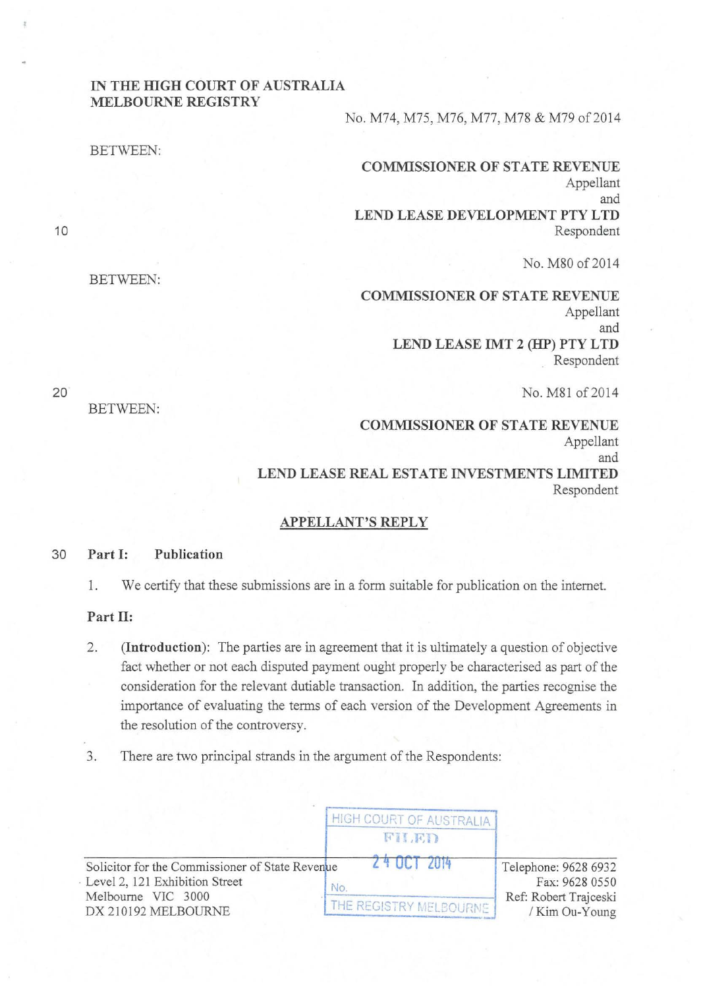## **IN THE HIGH COURT OF AUSTRALIA MELBOURNE REGISTRY**

No. M74, M75, M76, M77, M78 & M79 of 2014

**COMMISSIONER OF STATE REVENUE**  Appellant and **LEND LEASE DEVELOPMENT PTY LTD**  Respondent

No. M80 of 2014

**COMMISSIONER OF STATE REVENUE**  Appellant and **LEND LEASE IMT 2 (HP) PTY LTD**  . Respondent

No. M81 of 2014

**COMMISSIONER OF STATE REVENUE**  Appellant and **LEND LEASE REAL ESTATE INVESTMENTS LIMITED**  Respondent

## **APPELLANT'S REPLY**

## 30 **Part 1: Publication**

1. We certify that these submissions are in a form suitable for publication on the internet.

## **Part II:**

- 2. **(Introduction):** The parties are in agreement that it is ultimately a question of objective fact whether or not each disputed payment ought properly be characterised as part of the consideration for the relevant dutiable transaction. In addition, the parties recognise the importance of evaluating the terms of each version of the Development Agreements in the resolution of the controversy.
- 3. There are two principal strands in the argument of the Respondents:

|                                                                                                                                | HIGH COURT OF AUSTRALIA  |                                                                                   |  |
|--------------------------------------------------------------------------------------------------------------------------------|--------------------------|-----------------------------------------------------------------------------------|--|
|                                                                                                                                | FILED                    |                                                                                   |  |
| Solicitor for the Commissioner of State Revenue<br>Level 2, 121 Exhibition Street<br>Melbourne VIC 3000<br>DX 210192 MELBOURNE | $\sqrt{4}$ III<br>No.    | Telephone: 9628 6932<br>Fax: 9628 0550<br>Ref: Robert Trajceski<br>/ Kim Ou-Young |  |
|                                                                                                                                | THE REGISTRY MELBOURNE / |                                                                                   |  |

10

BETWEEN:

BETWEEN:

BETWEEN:

20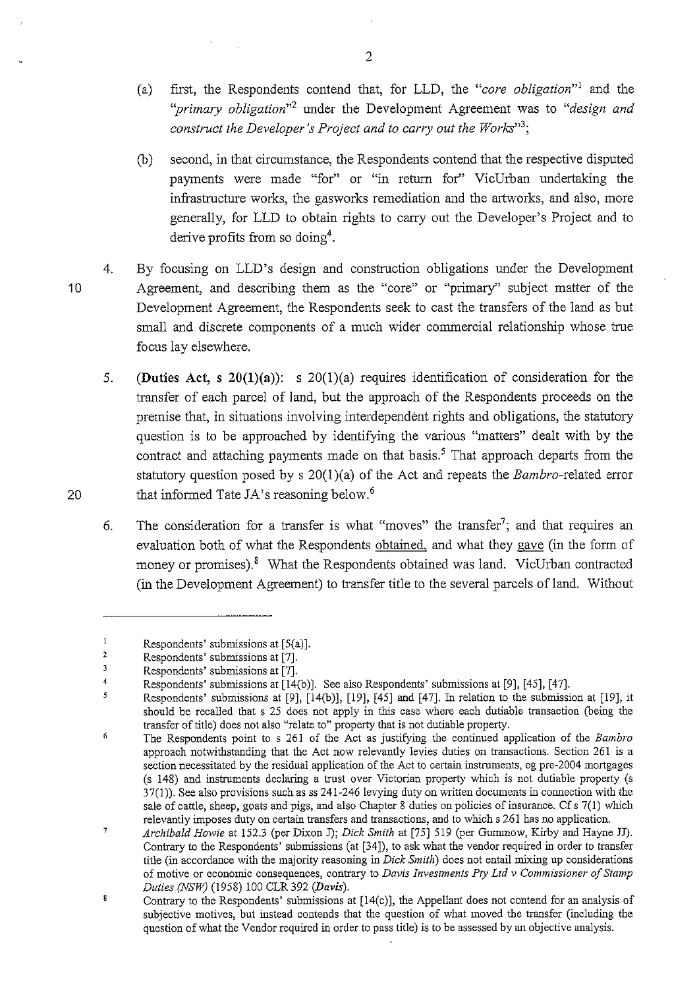- (a) first, the Respondents contend that, for LLD, the *"core obligation"*<sup>1</sup>and the *''primary obligation"<sup>2</sup>*under the Development Agreement was to *"design and construct the Developer's Project and to carry out the Works*"<sup>3</sup>;
- (b) second, in that circumstance, the Respondents contend that the respective disputed payments were made "for" or "in return for" VicUrban undertaking the infrastructure works, the gasworks remediation and the artworks, and also, more generally, for LLD to obtain rights to carry out the Developer's Project and to derive profits from so doing4.
- 4. By focusing on LLD's design and construction obligations under the Development Agreement, and describing them as the "core" or "primary" subject matter of the Development Agreement, the Respondents seek to cast the transfers of the land as but small and discrete components of a much wider commercial relationship whose true focus lay elsewhere.
- 5. **(Duties Act, s 20(l)(a)):** s 20(l)(a) requires identification of consideration for the transfer of each parcel of land, but the approach of the Respondents proceeds on the premise that, in situations involving interdependent rights and obligations, the statutory question is to be approached by identifying the various "matters" dealt with by the contract and attaching payments made on that basis.<sup>5</sup> That approach departs from the statutory question posed by s  $20(1)(a)$  of the Act and repeats the *Bambro*-related error that informed Tate JA's reasoning below.<sup>6</sup>
- 6. The consideration for a transfer is what "moves" the transfer<sup>7</sup>; and that requires an evaluation both of what the Respondents obtained, and what they gave (in the form of money or promises).<sup>8</sup> What the Respondents obtained was land. VicUrban contracted (in the Development Agreement) to transfer title to the several parcels of land. Without

2

20

10

 $\mathbf{1}$ Respondents' submissions at [5(a)].

<sup>2</sup>  Respondents' submissions at [7].

<sup>3</sup>  Respondents' submissions at [7].

<sup>4</sup>  Respondents' submissions at [14(b)]. See also Respondents' submissions at [9], [45], [47].

<sup>5</sup> Respondents' submissions at [9], [14(b)], [19], [45] and [47]. In relation to the submission at [19], it should be recalled that s 25 does not apply in this case where each dutiable transaction (being the transfer of title) does not also "relate to" property that is not dutiable property.

 $\boldsymbol{6}$ The Respondents point to s 261 of the Act as justifying the continued application of the *Bambro*  **approach notwithstanding that the Act now relevantly levies duties on transactions. Section 261 is a**  section necessitated by the residual application of the Act to certain instruments, eg pre-2004 mortgages (s 148) and instruments declaring a trust over Victorian property which is not dutiable property (s 37(1)). See also provisions such as ss 241-246 levying duty on written documents in connection with the sale of cattle, sheep, goats and pigs, and also Chapter 8 duties on policies of insurance. Cf s 7(1) which relevantly imposes duty on certain transfers and transactions, and to which s 261 has no application.

 $\overline{7}$ *Archibald Howie* at 152.3 (per Dixon J); *Dick Smith* at [75] 519 (per Gummow, Kirby and Hayne JJ). Contrary to the Respondents' submissions (at [34]), to ask what the vendor required in order to transfer title (in accordance with the majority reasoning in *Dick Smith)* does not entail mixing up considerations **of motive or economic consequences, contrary to** *Davis Investments Pty Ltd v Commissioner of Stamp Duties (NSW)* (1958) 100 CLR 392 *(Davis).* 

 $\bf 8$ Contrary to the Respondents' submissions at [l4(c)], the Appellant does not contend for an analysis of subjective motives, but instead contends that the question of what moved the transfer (including the question of what the Vendor required in order to pass title) is to be assessed by an objective analysis.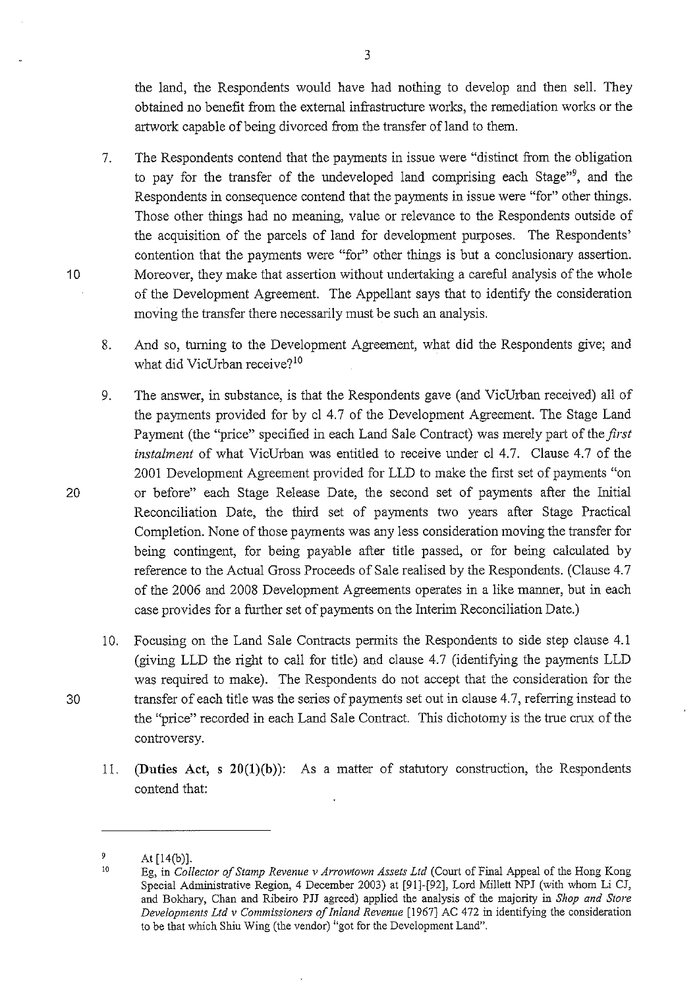the land, the Respondents would have had nothing to develop and then sell. They obtained no benefit from the external infrastructure works, the remediation works or the artwork capable of being divorced from the transfer of land to them.

7. The Respondents contend that the payments in issue were "distinct from the obligation to pay for the transfer of the undeveloped land comprising each Stage"<sup>9</sup> , and the Respondents in consequence contend that the payments in issue were "for" other things. Those other things had no meaning, value or relevance to the Respondents outside of the acquisition of the parcels of land for development purposes. The Respondents' contention that the payments were "for" other things is but a conclusionary assertion. 10 Moreover, they make that assertion without undetiaking a careful analysis of the whole of the Development Agreement. The Appellant says that to identify the consideration moving the transfer there necessarily must be such an analysis.

8. And so, turning to the Development Agreement, what did the Respondents give; and what did VicUrban receive?<sup>10</sup>

- 9. The answer, in substance, is that the Respondents gave (and VicUrban received) all of the payments provided for by cl 4.7 of the Development Agreement. The Stage Land Payment (the "price" specified in each Land Sale Contract) was merely part of the *first instalment* of what VicUrban was entitled to receive under cl 4.7. Clause 4.7 of the 2001 Development Agreement provided for LLD to make the first set of payments "on 20 or before" each Stage Release Date, the second set of payments after the Initial Reconciliation Date, the third set of payments two years after Stage Practical Completion. None of those payments was any less consideration moving the transfer for being contingent, for being payable after title passed, or for being calculated by reference to the Actual Gross Proceeds of Sale realised by the Respondents. (Clause 4. 7 of the 2006 and 2008 Development Agreements operates in a like manner, but in each case provides for a further set of payments on the Interim Reconciliation Date.)
- 10. Focusing on the Land Sale Contracts permits the Respondents to side step clause 4.1 (giving LLD the right to call for title) and clause 4.7 (identifying the payments LLD was required to make). The Respondents do not accept that the consideration for the 30 transfer of each title was the series of payments set out in clause 4.7, referring instead to the "price" recorded in each Land Sale Contract. This dichotomy is the true crux of the controversy.
	- 11. **(Duties Act, s 20(l)(b)):** As a matter of statutory construction, the Respondents contend that:

3

 $\mathfrak{g}$ At [14(b)).

<sup>10</sup>  Eg, in *Collector of Stamp Revenue v Arrowtown Assets Ltd* (Court of Final Appeal of the Hong Kong Special Administrative Region, 4 December 2003) at [91]-[92], Lord Millett NPJ (with whom Li CJ, and Bokhary, Chan and Ribeiro PJJ agreed) applied the analysis of the majority in *Shop and Store Developments Ltd v Commissioners of Inland Revenue* [1967] AC 472 in identifying the consideration to be that which Shiu Wing (the vendor) "got for the Development Land".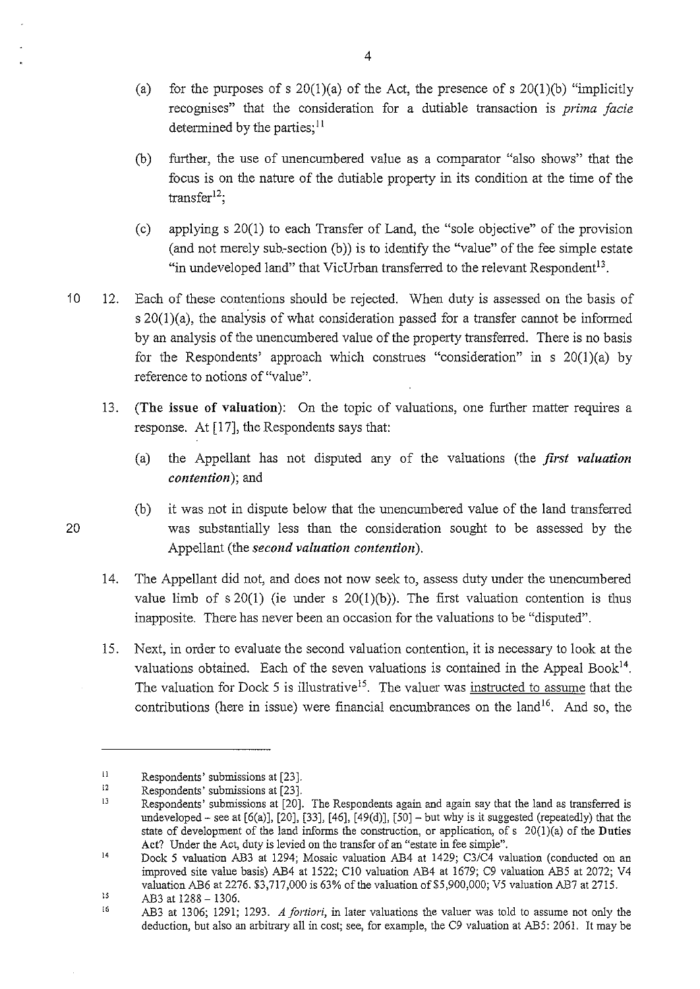- (a) for the purposes of s  $20(1)(a)$  of the Act, the presence of s  $20(1)(b)$  "implicitly recognises" that the consideration for a dutiable transaction is *prima facie*  determined by the parties;  $11$
- (b) further, the use of unencumbered value as a comparator "also shows" that the focus is on the nature of the dutiable property in its condition at the time of the  $transfer<sup>12</sup>;$
- (c) applying s 20(1) to each Transfer of Land, the "sole objective" of the provision (and not merely sub-section (b)) is to identify the "value" of the fee simple estate "in undeveloped land" that VicUrban transferred to the relevant Respondent<sup>13</sup>.
- 10 12. Each of these contentions should be rejected. When duty is assessed on the basis of  $s 20(1)(a)$ , the analysis of what consideration passed for a transfer cannot be informed by an analysis of the unencumbered value of the property transferred. There is no basis for the Respondents' approach which construes "consideration" in s  $20(1)(a)$  by reference to notions of "value".
	- 13. (The issue of valuation): On the topic of valuations, one further matter requires a response. At [17], the Respondents says that:
		- (a) the Appellant has not disputed any of the valuations (the *first valuation contention);* and
- (b) it was not in dispute below that the unencumbered value of the land transferred 20 was substantially less than the consideration sought to be assessed by the Appellant (the *second valuation contention).* 
	- 14. The Appellant did not, and does not now seek to, assess duty under the unencumbered value limb of  $s \ 20(1)$  (ie under  $s \ 20(1)(b)$ ). The first valuation contention is thus inapposite. There has never been an occasion for the valuations to be "disputed".
	- 15. Next, in order to evaluate the second valuation contention, it is necessary to look at the valuations obtained. Each of the seven valuations is contained in the Appeal Book<sup>14</sup>. The valuation for Dock 5 is illustrative<sup>15</sup>. The valuer was instructed to assume that the contributions (here in issue) were financial encumbrances on the land<sup>16</sup>. And so, the

II Respondents' submissions at [23].

<sup>12</sup>  Respondents' submissions at [23].

iJ Respondents' submissions at [20). The Respondents again and again say that the land as transferred is undeveloped – see at  $[6(a)]$ ,  $[20]$ ,  $[33]$ ,  $[46]$ ,  $[49(d)]$ ,  $[50]$  – but why is it suggested (repeatedly) that the state of development of the land informs the construction, or application, of s  $20(1)(a)$  of the Duties Act? Under the Act, duty is levied on the transfer of an "estate in fee simple".

<sup>14</sup>  Dock 5 valuation AB3 at 1294; Mosaic valuation AB4 at 1429; C3/C4 valuation (conducted on an improved site value basis) AB4 at 1522; ClO valuation AB4 at 1679; C9 valuation AB5 at 2072; V4 valuation AB6 at 2276. \$3,717,000 is 63% of the valuation of \$5,900,000; V5 valuation AB7 at 2715.

<sup>15</sup>  AB3 at 1288- 1306.

<sup>16</sup> AB3 at 1306; 1291; 1293. *A fortiori,* in later valuations the valuer was told to assume not only the deduction, but also an arbitrary all in cost; see, for example, the C9 valuation at AB5: 2061. It may be